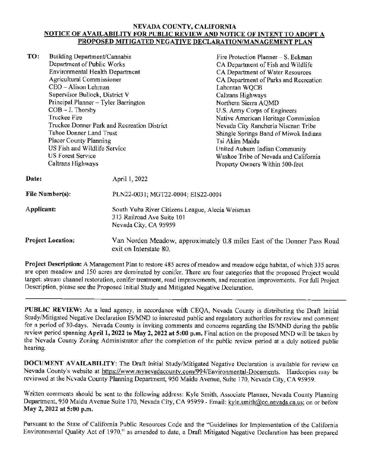## **NEV ADA COUNTY, CALIFORNIA NOTICE OF AVAILABILITY FOR PUBLIC REVIEW AND NOTICE OF INTENT TO ADOPT A PROPOSED MITIGATED NEGATIVE DECLARATION/MANAGEMENT PLAN**

**TO:** Building Department/Cannabis Department of Public Works Environmental Health Department Agricultural Commissioner Fire Protection Planner - S. Eckman CA Department of fish and Wildlife CA Department of Water Resources CA Department of Parks and Recreation Lahontan WQCB **Date:**  CEO - Alison Lehman Supervisor Bullock, District V Principal Planner - Tyler Barrington COB - J. Thorsby Truckee Fire Truckee Donner Park and Recreation District Tahoe Donner Land Trust Placer County Planning US Fish and Wildlife Service US Forest Service Caltrans Highways April I, 2022 Caltrans Highways Northern Sierra AQMD U.S. Army Corps of Engineers Native American Heritage Commission Nevada City Rancheria Niscnan Tribe Shingle Springs Band of Miwok Indians Tsi Akim Maidu United Auburn Indian Community Washoe Tribe of Nevada and California Property Owners Within 500-feet **File Number(s):** PLN22-003 l; MGT22-0004; EIS22-0004

**Applicant:**  South Yuba River Citizens League, Alecia Weisman 3 l3 Railroad Ave Suite lOl Nevada City, CA 95959

**Project Location:**  Van Norden Meadow, approximately 0.8 miles East of the Donner Pass Road exit on Interstate 80.

**Project Description:** A Management Plan to restore 485 acres of meadow and meadow edge habitat, of which 335 acres are open meadow and 150 acres are dominated by conifer. There are four categories that the proposed Project would target: stream channel restoration, conifer treatment, road improvements, and recreation improvements. For full Project Description, please see the Proposed Initial Study and Mitigated Negative Declaration.

PUBLIC REVIEW: As a lead agency, in accordance with CEQA, Nevada County is distributing the Draft Initial Study/Mitigated Negative Declaration IS/MND lo interested public and regulatory authorities for review and comment for a period of 30-days. Nevada County is inviting comments and concerns regarding the IS/MND during the public review period spanning April 1, 2022 to May 2, 2022 at 5:00 p.m. Final action on the proposed MND will be taken by the Nevada County Zoning Administrator after the completion of the public review period at a duly noticed public hearing.

**DOCUMENT AVAILABILITY:** The Draft Initial Study/Mitigated Negative Declaration is available for review on Nevada County's website at https://www.mynevadacounty.com/994/Environmental-Documents. Hardcopies may be reviewed at the Nevada County Planning Department, 950 Maidu Avenue, Suite 170, Nevada City, CA 95959.

Written comments should be sent to the following address: Kyle Smith, Associate Planner, Nevada County Planning Department, 950 Maidu Avenue Suite 170, Nevada City, CA 95959 - Email: kyle.smith@co.nevada.ca.us; on or before **May 2, 2022 at 5:00 p.m.** 

Pursuant to the State of California Public Resources Code and the "Guidelines for Implementation of the California Environmental Quality Act of 1970," as amended to date, a Draft Mitigated Negative Declaration has been prepared